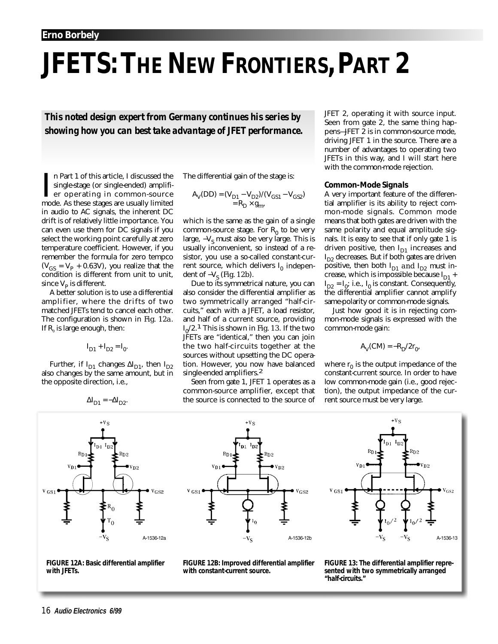# **JFETS: THE NEW FRONTIERS, PART 2**

*This noted design expert from Germany continues his series by showing how you can best take advantage of JFET performance.*

In Part 1 of this article, I discussed the<br>single-stage (or single-ended) amplifi-<br>er operating in common-source<br>mode. As these stages are usually limited n Part 1 of this article, I discussed the single-stage (or single-ended) amplifier operating in common-source in audio to AC signals, the inherent DC drift is of relatively little importance. You can even use them for DC signals if you select the working point carefully at zero temperature coefficient. However, if you remember the formula for zero tempco  $(V_{GS} = V_{P} + 0.63V)$ , you realize that the condition is different from unit to unit, since  $V_p$  is different.

A better solution is to use a differential amplifier, where the drifts of two matched JFETs tend to cancel each other. The configuration is shown in *Fig. 12a*. If  $R_0$  is large enough, then:

$$
\mathbf{I}_{D1} + \mathbf{I}_{D2} = \mathbf{I}_0.
$$

Further, if  $I_{D1}$  changes  $\Delta I_{D1}$ , then  $I_{D2}$ also changes by the same amount, but in the opposite direction, i.e.,

$$
\Delta I_{D1} = -\Delta I_{D2}.
$$





The differential gain of the stage is:

$$
A_V(DD) = (V_{D1} - V_{D2})/(V_{GS1} - V_{GS2})
$$
  
= R<sub>D</sub> × g<sub>m</sub>,

which is the same as the gain of a single common-source stage. For  $R_0$  to be very large,  $-V_s$  must also be very large. This is usually inconvenient, so instead of a resistor, you use a so-called constant-current source, which delivers  $I_0$  independent of –V<sub>s</sub> (*Fig. 12b*).

Due to its symmetrical nature, you can also consider the differential amplifier as two symmetrically arranged "half-circuits," each with a JFET, a load resistor, and half of a current source, providing I 0/2.1 This is shown in *Fig. 13*. If the two JFETs are "identical," then you can join the two half-circuits together at the sources without upsetting the DC operation. However, you now have balanced single-ended amplifiers.<sup>2</sup>

Seen from gate 1, JFET 1 operates as a common-source amplifier, except that the source is connected to the source of JFET 2, operating it with source input. Seen from gate 2, the same thing happens—JFET 2 is in common-source mode, driving JFET 1 in the source. There are a number of advantages to operating two JFETs in this way, and I will start here with the common-mode rejection.

#### *Common-Mode Signals*

A very important feature of the differential amplifier is its ability to reject common-mode signals. Common mode means that both gates are driven with the same polarity and equal amplitude signals. It is easy to see that if only gate 1 is driven positive, then  $I_{D1}$  increases and I<sub>D2</sub> decreases. But if both gates are driven positive, then both  $I_{D1}$  *and*  $I_{D2}$  must increase, which is impossible because  $I_{D1}$  +  $I_{D2} = I_0$ ; i.e.,  $I_0$  is constant. Consequently, the differential amplifier cannot amplify same-polarity or common-mode signals.

Just how good it is in rejecting common-mode signals is expressed with the common-mode gain:

$$
A_V(CM) = -R_D/2r_0,
$$

where  $r_0$  is the output impedance of the constant-current source. In order to have low common-mode gain (i.e., good rejection), the output impedance of the current source must be very large.



**FIGURE 12B: Improved differential amplifier with constant-current source.**



**FIGURE 13: The differential amplifier represented with two symmetrically arranged "half-circuits."**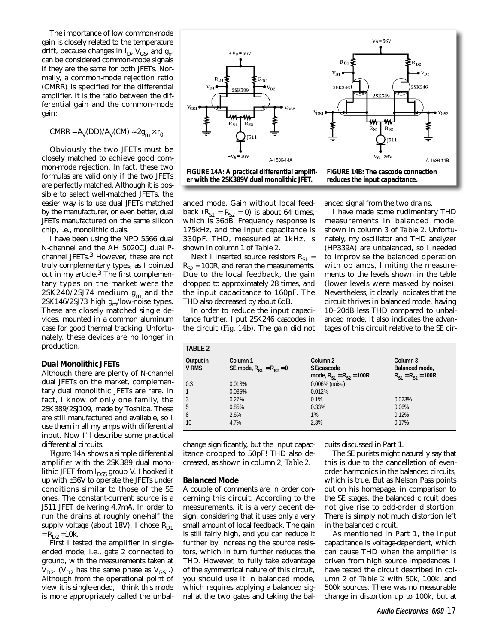The importance of low common-mode gain is closely related to the temperature drift, because changes in  $I_{D}$ ,  $V_{GS}$ , and  $g_{m}$ can be considered common-mode signals if they are the same for both JFETs. Normally, a common-mode rejection ratio (CMRR) is specified for the differential amplifier. It is the ratio between the differential gain and the common-mode gain:

 $CMRR = A_V(DD)/A_V(CM) \approx 2g_m \times r_0$ .

Obviously the two JFETs must be closely matched to achieve good common-mode rejection. In fact, these two formulas are valid only if the two JFETs are perfectly matched. Although it is possible to select well-matched JFETs, the easier way is to use dual JFETs matched by the manufacturer, or even better, dual JFETs manufactured on the same silicon chip, i.e., monolithic duals.

I have been using the NPD 5566 dual N-channel and the AH 5020CJ dual Pchannel JFETs.<sup>3</sup> However, these are not truly complementary types, as I pointed out in my article.<sup>3</sup> The first complementary types on the market were the  $2$ SK240/2SJ74 medium  $g_m$  and the 2SK146/2SJ73 high  $g_{m}/$ low-noise types. These are closely matched single devices, mounted in a common aluminum case for good thermal tracking. Unfortunately, these devices are no longer in production.

## *Dual Monolithic JFETs*

Although there are plenty of N-channel dual JFETs on the market, complementary dual monolithic JFETs are rare. In fact, I know of only one family, the 2SK389/2SJ109, made by Toshiba. These are still manufactured and available, so I use them in all my amps with differential input. Now I'll describe some practical differential circuits.

*Figure 14a* shows a simple differential amplifier with the 2SK389 dual monolithic JFET from  $I<sub>n</sub>$  group V. I hooked it up with ±36V to operate the JFETs under conditions similar to those of the SE ones. The constant-current source is a J511 JFET delivering 4.7mA. In order to run the drains at roughly one-half the supply voltage (about 18V), I chose  $R_{D1}$  $=R_{D2} = 10k.$ 

First I tested the amplifier in singleended mode, i.e., gate 2 connected to ground, with the measurements taken at  $V_{D2}$ . ( $V_{D2}$  has the same phase as  $V_{GS1}$ .) Although from the operational point of view it is single-ended, I think this mode is more appropriately called the unbal-



anced mode. Gain without local feedback  $(R<sub>S1</sub> = R<sub>S2</sub> = 0)$  is about 64 times, which is 36dB. Frequency response is 175kHz, and the input capacitance is 330pF. THD, measured at 1kHz, is shown in column 1 of *Table 2*.

Next I inserted source resistors  $R_{s1}$  =  $R_{s2}$  = 100R, and reran the measurements. Due to the local feedback, the gain dropped to approximately 28 times, and the input capacitance to 160pF. The THD also decreased by about 6dB.

In order to reduce the input capacitance further, I put 2SK246 cascodes in the circuit (*Fig. 14b*). The gain did not anced signal from the two drains.

I have made some rudimentary THD measurements in balanced mode, shown in column 3 of *Table 2*. Unfortunately, my oscillator and THD analyzer (HP339A) are unbalanced, so I needed to improvise the balanced operation with op amps, limiting the measurements to the levels shown in the table (lower levels were masked by noise). Nevertheless, it clearly indicates that the circuit thrives in balanced mode, having 10–20dB less THD compared to unbalanced mode. It also indicates the advantages of this circuit relative to the SE cir-

| <b>TABLE 2</b>            |                                              |                                                          |                                                        |
|---------------------------|----------------------------------------------|----------------------------------------------------------|--------------------------------------------------------|
| Output in<br><b>V RMS</b> | Column 1<br>SE mode, $R_{s_1} = R_{s_2} = 0$ | Column 2<br>SE/cascode<br>mode, $R_{S1} = R_{S2} = 100R$ | Column 3<br>Balanced mode,<br>$R_{S1} = R_{S2} = 100R$ |
| 0.3                       | 0.013%                                       | 0.006% (noise)                                           |                                                        |
|                           | 0.035%                                       | 0.012%                                                   |                                                        |
| 3                         | 0.27%                                        | 0.1%                                                     | 0.023%                                                 |
| 5                         | 0.85%                                        | 0.33%                                                    | 0.06%                                                  |
| 8                         | 2.6%                                         | 1%                                                       | 0.12%                                                  |
| 10                        | 4.7%                                         | 2.3%                                                     | 0.17%                                                  |

change significantly, but the input capacitance dropped to 50pF! THD also decreased, as shown in column 2, *Table 2*.

## *Balanced Mode*

A couple of comments are in order concerning this circuit. According to the measurements, it is a very decent design, considering that it uses only a very small amount of local feedback. The gain is still fairly high, and you can reduce it further by increasing the source resistors, which in turn further reduces the THD. However, to fully take advantage of the symmetrical nature of this circuit, you should use it in balanced mode, which requires applying a balanced signal at the two gates and taking the balcuits discussed in Part 1.

The SE purists might naturally say that this is due to the cancellation of evenorder harmonics in the balanced circuits, which is true. But as Nelson Pass points out on his homepage, in comparison to the SE stages, the balanced circuit does not give rise to odd-order distortion. There is simply not much distortion left in the balanced circuit.

As mentioned in Part 1, the input capacitance is voltage-dependent, which can cause THD when the amplifier is driven from high source impedances. I have tested the circuit described in column 2 of *Table 2* with 50k, 100k, and 500k sources. There was no measurable change in distortion up to 100k, but at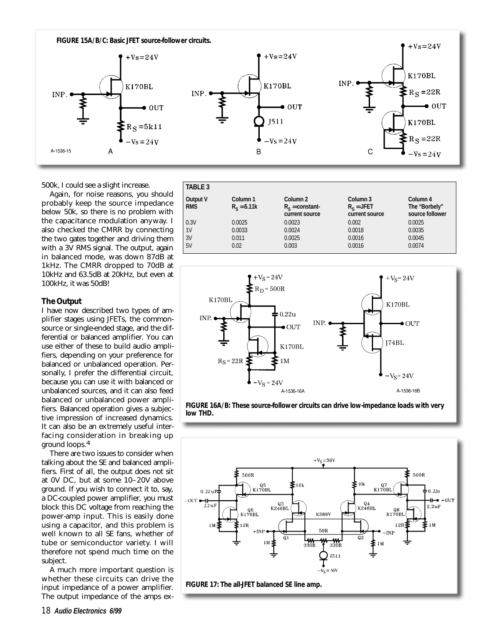

500k, I could see a slight increase.

Again, for noise reasons, you should probably keep the source impedance below 50k, so there is no problem with the capacitance modulation anyway. I also checked the CMRR by connecting the two gates together and driving them with a 3V RMS signal. The output, again in balanced mode, was down 87dB at 1kHz. The CMRR dropped to 70dB at 10kHz and 63.5dB at 20kHz, but even at 100kHz, it was 50dB!

## *The Output*

I have now described two types of amplifier stages using JFETs, the commonsource or single-ended stage, and the differential or balanced amplifier. You can use either of these to build audio amplifiers, depending on your preference for balanced or unbalanced operation. Personally, I prefer the differential circuit, because you can use it with balanced or unbalanced sources, and it can also feed balanced or unbalanced power amplifiers. Balanced operation gives a subjective impression of increased dynamics. It can also be an extremely useful interfacing consideration in breaking up ground loops.4

There are two issues to consider when talking about the SE and balanced amplifiers. First of all, the output does not sit at 0V DC, but at some 10–20V above ground. If you wish to connect it to, say, a DC-coupled power amplifier, you must block this DC voltage from reaching the power-amp input. This is easily done using a capacitor, and this problem is well known to all SE fans, whether of tube or semiconductor variety. I will therefore not spend much time on the subject.

A much more important question is whether these circuits can drive the input impedance of a power amplifier. The output impedance of the amps ex-

| <b>TABLE 3</b>                |                           |                                                           |                                                       |                                              |  |
|-------------------------------|---------------------------|-----------------------------------------------------------|-------------------------------------------------------|----------------------------------------------|--|
| <b>Output V</b><br><b>RMS</b> | Column 1<br>$R_c = 5.11k$ | Column <sub>2</sub><br>$R_c = constant$<br>current source | Column <sub>3</sub><br>$R_c = JFET$<br>current source | Column 4<br>The "Borbely"<br>source follower |  |
| 0.3V                          | 0.0025                    | 0.0023                                                    | 0.002                                                 | 0.0025                                       |  |
| 1 <sup>V</sup>                | 0.0033                    | 0.0024                                                    | 0.0018                                                | 0.0035                                       |  |
| 3V                            | 0.011                     | 0.0025                                                    | 0.0016                                                | 0.0045                                       |  |
| 5V                            | 0.02                      | 0.003                                                     | 0.0016                                                | 0.0074                                       |  |





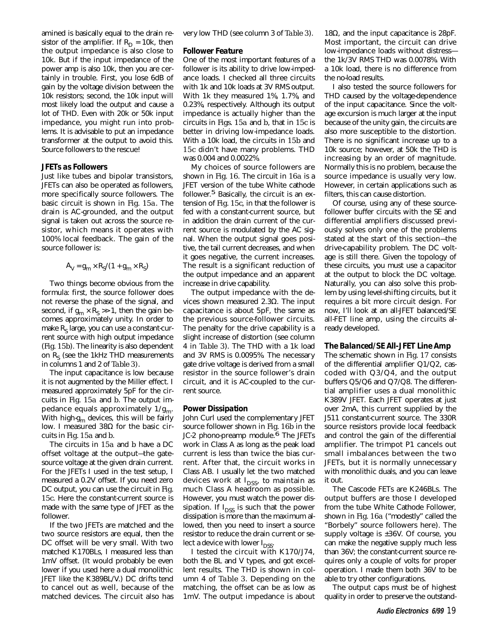amined is basically equal to the drain resistor of the amplifier. If  $R_D = 10k$ , then the output impedance is also close to 10k. But if the input impedance of the power amp is also 10k, then you are certainly in trouble. First, you lose 6dB of gain by the voltage division between the 10k resistors; second, the 10k input will most likely load the output and cause a lot of THD. Even with 20k or 50k input impedance, you might run into problems. It is advisable to put an impedance transformer at the output to avoid this. Source followers to the rescue!

## *JFETs as Followers*

Just like tubes and bipolar transistors, JFETs can also be operated as followers, more specifically source followers. The basic circuit is shown in *Fig. 15a*. The drain is AC-grounded, and the output signal is taken out across the source resistor, which means it operates with 100% local feedback. The gain of the source follower is:

$$
A_V = g_m \times R_S/(1 + g_m \times R_S)
$$

Two things become obvious from the formula: first, the source follower does not reverse the phase of the signal, and second, if  $g_m \times R_s \gg 1$ , then the gain becomes approximately unity. In order to make  $R<sub>s</sub>$  large, you can use a constant-current source with high output impedance (*Fig. 15b*). The linearity is also dependent on  $R<sub>s</sub>$  (see the 1kHz THD measurements in columns 1 and 2 of *Table 3)*.

The input capacitance is low because it is not augmented by the Miller effect. I measured approximately 5pF for the circuits in *Fig. 15a* and *b*. The output impedance equals approximately  $1/g<sub>m</sub>$ . With high- $g<sub>m</sub>$  devices, this will be fairly low. I measured 38Ω for the basic circuits in *Fig. 15a* and *b*.

The circuits in *15a* and *b* have a DC offset voltage at the output—the gatesource voltage at the given drain current. For the JFETs I used in the test setup, I measured a 0.2V offset. If you need zero DC output, you can use the circuit in *Fig. 15c*. Here the constant-current source is made with the same type of JFET as the follower.

If the two JFETs are matched and the two source resistors are equal, then the DC offset will be very small. With two matched K170BLs, I measured less than 1mV offset. (It would probably be even lower if you used here a dual monolithic JFET like the K389BL/V.) DC drifts tend to cancel out as well, because of the matched devices. The circuit also has

very low THD (see column 3 of *Table 3*).

### *Follower Feature*

One of the most important features of a follower is its ability to drive low-impedance loads. I checked all three circuits with 1k and 10k loads at 3V RMS output. With 1k they measured 1%, 1.7%, and 0.23%, respectively. Although its output impedance is actually higher than the circuits in *Figs. 15a* and *b*, that in *15c* is better in driving low-impedance loads. With a 10k load, the circuits in *15b* and *15c* didn't have many problems. THD was 0.004 and 0.0022%.

My choices of source followers are shown in *Fig. 16*. The circuit in *16a* is a JFET version of the tube White cathode follower.<sup>5</sup> Basically, the circuit is an extension of *Fig. 15c*, in that the follower is fed with a constant-current source, but in addition the drain current of the current source is modulated by the AC signal. When the output signal goes positive, the tail current decreases, and when it goes negative, the current increases. The result is a significant reduction of the output impedance and an apparent increase in drive capability.

The output impedance with the devices shown measured 2.3Ω. The input capacitance is about 5pF, the same as the previous source-follower circuits. The penalty for the drive capability is a slight increase of distortion (see column 4 in *Table 3*). The THD with a 1k load and 3V RMS is 0.0095%. The necessary gate drive voltage is derived from a small resistor in the source follower's drain circuit, and it is AC-coupled to the current source.

### *Power Dissipation*

John Curl used the complementary JFET source follower shown in *Fig. 16b* in the JC-2 phono-preamp module.<sup>6</sup> The JFETs work in Class A as long as the peak load current is less than twice the bias current. After that, the circuit works in Class AB. I usually let the two matched devices work at  $I_{DSS}$ , to maintain as much Class A headroom as possible. However, you must watch the power dissipation. If  $I_{DSS}$  is such that the power dissipation is more than the maximum allowed, then you need to insert a source resistor to reduce the drain current or select a device with lower  $I_{DSS}$ .

I tested the circuit with K170/J74, both the BL and V types, and got excellent results. The THD is shown in column 4 of *Table 3*. Depending on the matching, the offset can be as low as 1mV. The output impedance is about

18 $\Omega$ , and the input capacitance is 28pF. Most important, the circuit can drive low-impedance loads without distress the 1k/3V RMS THD was 0.0078%. With a 10k load, there is no difference from the no-load results.

I also tested the source followers for THD caused by the voltage-dependence of the input capacitance. Since the voltage excursion is much larger at the input because of the unity gain, the circuits are also more susceptible to the distortion. There is no significant increase up to a 10k source; however, at 50k the THD is increasing by an order of magnitude. Normally this is no problem, because the source impedance is usually very low. However, in certain applications such as filters, this can cause distortion.

Of course, using any of these sourcefollower buffer circuits with the SE and differential amplifiers discussed previously solves only one of the problems stated at the start of this section—the drive-capability problem. The DC voltage is still there. Given the topology of these circuits, you must use a capacitor at the output to block the DC voltage. Naturally, you can also solve this problem by using level-shifting circuits, but it requires a bit more circuit design. For now, I'll look at an all-JFET balanced/SE all-FET line amp, using the circuits already developed.

### *The Balanced/SE All-JFET Line Amp*

The schematic shown in *Fig. 17* consists of the differential amplifier Q1/Q2, cascoded with Q3/Q4, and the output buffers Q5/Q6 and Q7/Q8. The differential amplifier uses a dual monolithic K389V JFET. Each JFET operates at just over 2mA, this current supplied by the J511 constant-current source. The 330R source resistors provide local feedback and control the gain of the differential amplifier. The trimpot P1 cancels out small imbalances between the two JFETs, but it is normally unnecessary with monolithic duals, and you can leave it out.

The Cascode FETs are K246BLs. The output buffers are those I developed from the tube White Cathode Follower, shown in *Fig. 16a* ("modestly" called the "Borbely" source followers here). The supply voltage is ±36V. Of course, you can make the negative supply much less than 36V; the constant-current source requires only a couple of volts for proper operation. I made them both 36V to be able to try other configurations.

The output caps must be of highest quality in order to preserve the outstand-